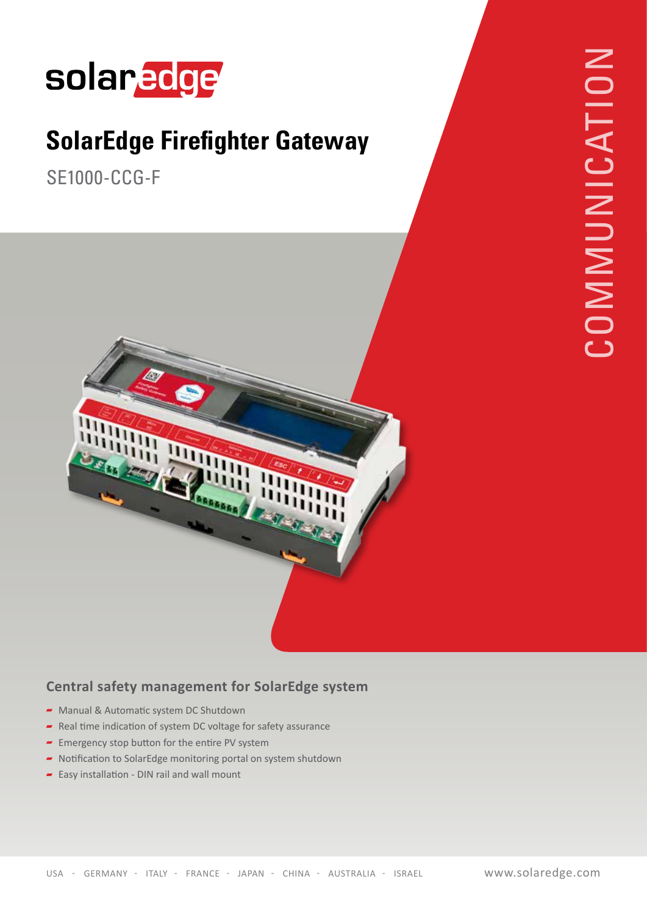## solaredge

## **SolarEdge Firefighter Gateway**

SE1000-CCG-F





## **Central safety management for SolarEdge system**

- $\blacktriangleright$  Manual & Automatic system DC Shutdown
- Real time indication of system DC voltage for safety assurance
- $\blacktriangleright$  Emergency stop button for the entire PV system
- $\blacktriangleright$  Notification to SolarEdge monitoring portal on system shutdown
- $\overline{\phantom{a}}$  Easy installation DIN rail and wall mount